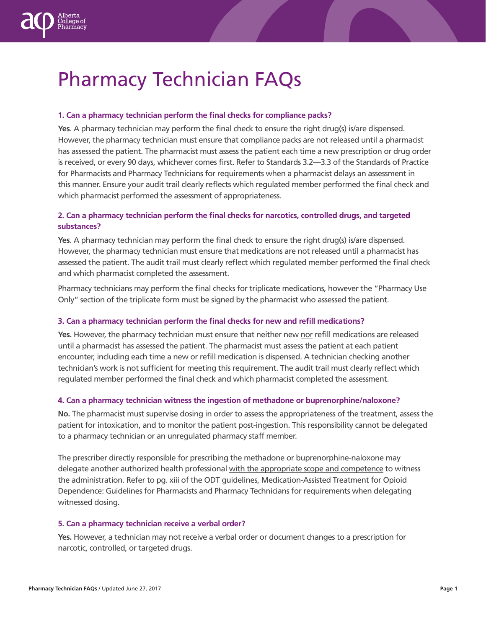

#### **1. Can a pharmacy technician perform the final checks for compliance packs?**

**Yes**. A pharmacy technician may perform the final check to ensure the right drug(s) is/are dispensed. However, the pharmacy technician must ensure that compliance packs are not released until a pharmacist has assessed the patient. The pharmacist must assess the patient each time a new prescription or drug order is received, or every 90 days, whichever comes first. Refer to Standards 3.2—3.3 of the Standards of Practice for Pharmacists and Pharmacy Technicians for requirements when a pharmacist delays an assessment in this manner. Ensure your audit trail clearly reflects which regulated member performed the final check and which pharmacist performed the assessment of appropriateness.

# **2. Can a pharmacy technician perform the final checks for narcotics, controlled drugs, and targeted substances?**

**Yes**. A pharmacy technician may perform the final check to ensure the right drug(s) is/are dispensed. However, the pharmacy technician must ensure that medications are not released until a pharmacist has assessed the patient. The audit trail must clearly reflect which regulated member performed the final check and which pharmacist completed the assessment.

Pharmacy technicians may perform the final checks for triplicate medications, however the "Pharmacy Use Only" section of the triplicate form must be signed by the pharmacist who assessed the patient.

#### **3. Can a pharmacy technician perform the final checks for new and refill medications?**

**Yes.** However, the pharmacy technician must ensure that neither new nor refill medications are released until a pharmacist has assessed the patient. The pharmacist must assess the patient at each patient encounter, including each time a new or refill medication is dispensed. A technician checking another technician's work is not sufficient for meeting this requirement. The audit trail must clearly reflect which regulated member performed the final check and which pharmacist completed the assessment.

#### **4. Can a pharmacy technician witness the ingestion of methadone or buprenorphine/naloxone?**

**No.** The pharmacist must supervise dosing in order to assess the appropriateness of the treatment, assess the patient for intoxication, and to monitor the patient post-ingestion. This responsibility cannot be delegated to a pharmacy technician or an unregulated pharmacy staff member.

The prescriber directly responsible for prescribing the methadone or buprenorphine-naloxone may delegate another authorized health professional with the appropriate scope and competence to witness the administration. Refer to pg. xiii of the ODT guidelines, Medication-Assisted Treatment for Opioid Dependence: Guidelines for Pharmacists and Pharmacy Technicians for requirements when delegating witnessed dosing.

#### **5. Can a pharmacy technician receive a verbal order?**

**Yes.** However, a technician may not receive a verbal order or document changes to a prescription for narcotic, controlled, or targeted drugs.